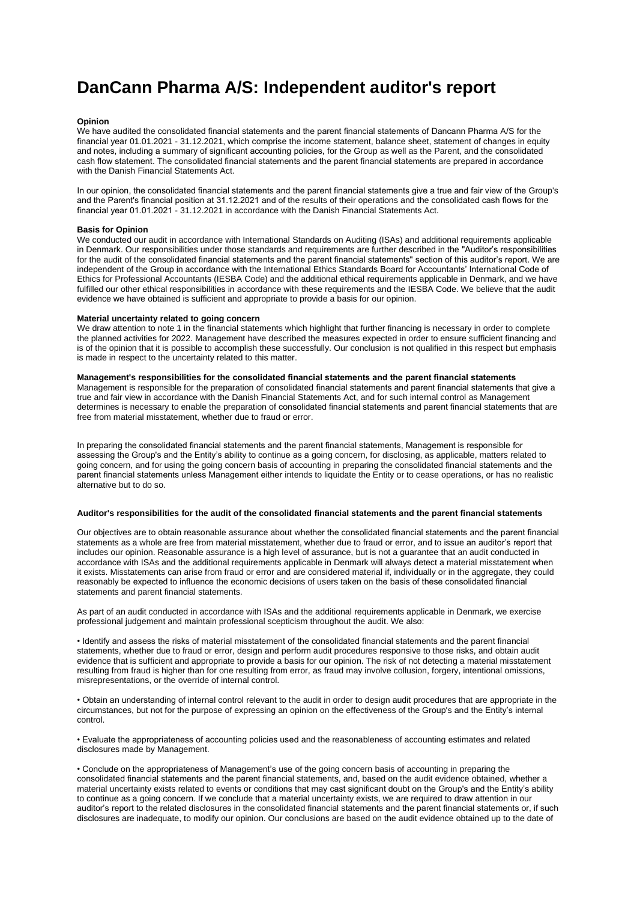# **DanCann Pharma A/S: Independent auditor's report**

## **Opinion**

We have audited the consolidated financial statements and the parent financial statements of Dancann Pharma A/S for the financial year 01.01.2021 - 31.12.2021, which comprise the income statement, balance sheet, statement of changes in equity and notes, including a summary of significant accounting policies, for the Group as well as the Parent, and the consolidated cash flow statement. The consolidated financial statements and the parent financial statements are prepared in accordance with the Danish Financial Statements Act.

In our opinion, the consolidated financial statements and the parent financial statements give a true and fair view of the Group's and the Parent's financial position at 31.12.2021 and of the results of their operations and the consolidated cash flows for the financial year 01.01.2021 - 31.12.2021 in accordance with the Danish Financial Statements Act.

## **Basis for Opinion**

We conducted our audit in accordance with International Standards on Auditing (ISAs) and additional requirements applicable in Denmark. Our responsibilities under those standards and requirements are further described in the "Auditor's responsibilities for the audit of the consolidated financial statements and the parent financial statements" section of this auditor's report. We are independent of the Group in accordance with the International Ethics Standards Board for Accountants' International Code of Ethics for Professional Accountants (IESBA Code) and the additional ethical requirements applicable in Denmark, and we have fulfilled our other ethical responsibilities in accordance with these requirements and the IESBA Code. We believe that the audit evidence we have obtained is sufficient and appropriate to provide a basis for our opinion.

#### **Material uncertainty related to going concern**

We draw attention to note 1 in the financial statements which highlight that further financing is necessary in order to complete the planned activities for 2022. Management have described the measures expected in order to ensure sufficient financing and is of the opinion that it is possible to accomplish these successfully. Our conclusion is not qualified in this respect but emphasis is made in respect to the uncertainty related to this matter.

# **Management's responsibilities for the consolidated financial statements and the parent financial statements**

Management is responsible for the preparation of consolidated financial statements and parent financial statements that give a true and fair view in accordance with the Danish Financial Statements Act, and for such internal control as Management determines is necessary to enable the preparation of consolidated financial statements and parent financial statements that are free from material misstatement, whether due to fraud or error.

In preparing the consolidated financial statements and the parent financial statements, Management is responsible for assessing the Group's and the Entity's ability to continue as a going concern, for disclosing, as applicable, matters related to going concern, and for using the going concern basis of accounting in preparing the consolidated financial statements and the parent financial statements unless Management either intends to liquidate the Entity or to cease operations, or has no realistic alternative but to do so.

### **Auditor's responsibilities for the audit of the consolidated financial statements and the parent financial statements**

Our objectives are to obtain reasonable assurance about whether the consolidated financial statements and the parent financial statements as a whole are free from material misstatement, whether due to fraud or error, and to issue an auditor's report that includes our opinion. Reasonable assurance is a high level of assurance, but is not a guarantee that an audit conducted in accordance with ISAs and the additional requirements applicable in Denmark will always detect a material misstatement when it exists. Misstatements can arise from fraud or error and are considered material if, individually or in the aggregate, they could reasonably be expected to influence the economic decisions of users taken on the basis of these consolidated financial statements and parent financial statements.

As part of an audit conducted in accordance with ISAs and the additional requirements applicable in Denmark, we exercise professional judgement and maintain professional scepticism throughout the audit. We also:

• Identify and assess the risks of material misstatement of the consolidated financial statements and the parent financial statements, whether due to fraud or error, design and perform audit procedures responsive to those risks, and obtain audit evidence that is sufficient and appropriate to provide a basis for our opinion. The risk of not detecting a material misstatement resulting from fraud is higher than for one resulting from error, as fraud may involve collusion, forgery, intentional omissions, misrepresentations, or the override of internal control.

• Obtain an understanding of internal control relevant to the audit in order to design audit procedures that are appropriate in the circumstances, but not for the purpose of expressing an opinion on the effectiveness of the Group's and the Entity's internal control.

• Evaluate the appropriateness of accounting policies used and the reasonableness of accounting estimates and related disclosures made by Management.

• Conclude on the appropriateness of Management's use of the going concern basis of accounting in preparing the consolidated financial statements and the parent financial statements, and, based on the audit evidence obtained, whether a material uncertainty exists related to events or conditions that may cast significant doubt on the Group's and the Entity's ability to continue as a going concern. If we conclude that a material uncertainty exists, we are required to draw attention in our auditor's report to the related disclosures in the consolidated financial statements and the parent financial statements or, if such disclosures are inadequate, to modify our opinion. Our conclusions are based on the audit evidence obtained up to the date of